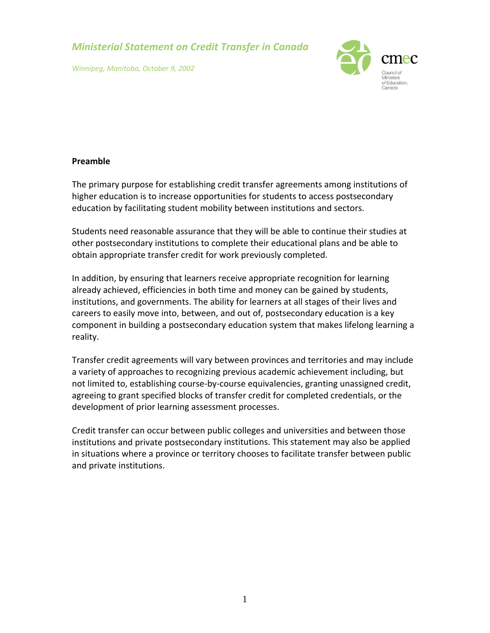*Ministerial Statement on Credit Transfer in Canada*

*Winnipeg, Manitoba, October 9, 2002*



## **Preamble**

The primary purpose for establishing credit transfer agreements among institutions of higher education is to increase opportunities for students to access postsecondary education by facilitating student mobility between institutions and sectors.

Students need reasonable assurance that they will be able to continue their studies at other postsecondary institutions to complete their educational plans and be able to obtain appropriate transfer credit for work previously completed.

In addition, by ensuring that learners receive appropriate recognition for learning already achieved, efficiencies in both time and money can be gained by students, institutions, and governments. The ability for learners at all stages of their lives and careers to easily move into, between, and out of, postsecondary education is a key component in building a postsecondary education system that makes lifelong learning a reality.

Transfer credit agreements will vary between provinces and territories and may include a variety of approaches to recognizing previous academic achievement including, but not limited to, establishing course‐by‐course equivalencies, granting unassigned credit, agreeing to grant specified blocks of transfer credit for completed credentials, or the development of prior learning assessment processes.

Credit transfer can occur between public colleges and universities and between those institutions and private postsecondary institutions. This statement may also be applied in situations where a province or territory chooses to facilitate transfer between public and private institutions.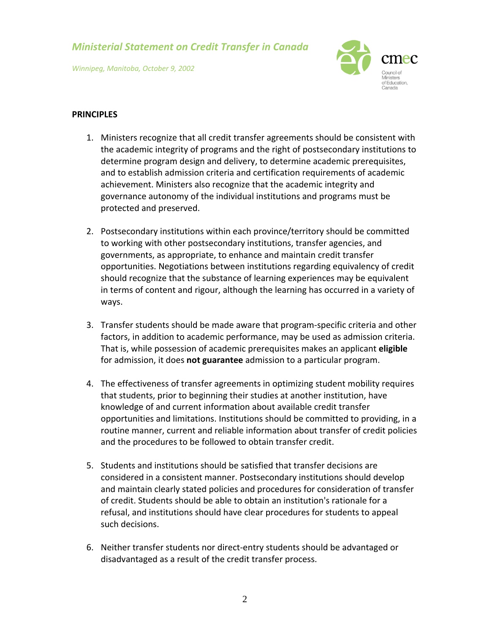*Ministerial Statement on Credit Transfer in Canada*

*Winnipeg, Manitoba, October 9, 2002*



## **PRINCIPLES**

- 1. Ministers recognize that all credit transfer agreements should be consistent with the academic integrity of programs and the right of postsecondary institutions to determine program design and delivery, to determine academic prerequisites, and to establish admission criteria and certification requirements of academic achievement. Ministers also recognize that the academic integrity and governance autonomy of the individual institutions and programs must be protected and preserved.
- 2. Postsecondary institutions within each province/territory should be committed to working with other postsecondary institutions, transfer agencies, and governments, as appropriate, to enhance and maintain credit transfer opportunities. Negotiations between institutions regarding equivalency of credit should recognize that the substance of learning experiences may be equivalent in terms of content and rigour, although the learning has occurred in a variety of ways.
- 3. Transfer students should be made aware that program‐specific criteria and other factors, in addition to academic performance, may be used as admission criteria. That is, while possession of academic prerequisites makes an applicant **eligible** for admission, it does **not guarantee** admission to a particular program.
- 4. The effectiveness of transfer agreements in optimizing student mobility requires that students, prior to beginning their studies at another institution, have knowledge of and current information about available credit transfer opportunities and limitations. Institutions should be committed to providing, in a routine manner, current and reliable information about transfer of credit policies and the procedures to be followed to obtain transfer credit.
- 5. Students and institutions should be satisfied that transfer decisions are considered in a consistent manner. Postsecondary institutions should develop and maintain clearly stated policies and procedures for consideration of transfer of credit. Students should be able to obtain an institution's rationale for a refusal, and institutions should have clear procedures for students to appeal such decisions.
- 6. Neither transfer students nor direct‐entry students should be advantaged or disadvantaged as a result of the credit transfer process.